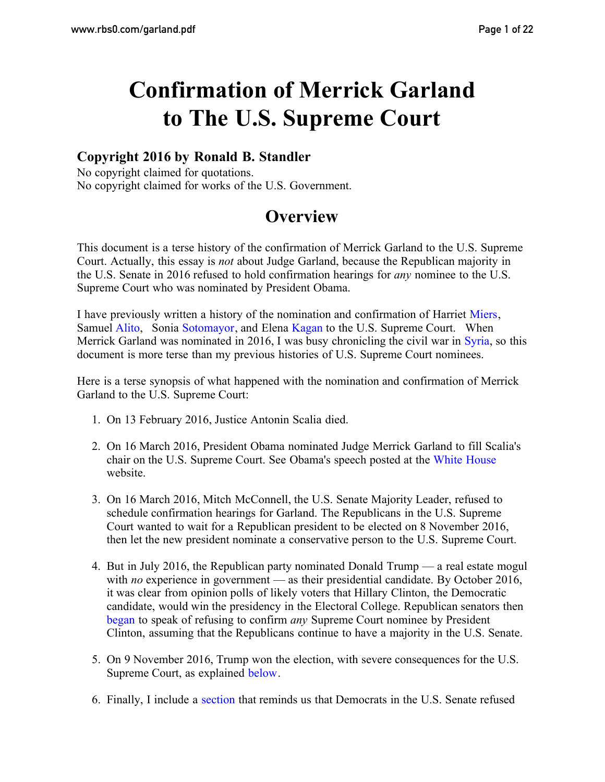# **Confirmation of Merrick Garland to The U.S. Supreme Court**

### **Copyright 2016 by Ronald B. Standler**

No copyright claimed for quotations. No copyright claimed for works of the U.S. Government.

# **Overview**

This document is a terse history of the confirmation of Merrick Garland to the U.S. Supreme Court. Actually, this essay is *not* about Judge Garland, because the Republican majority in the U.S. Senate in 2016 refused to hold confirmation hearings for *any* nominee to the U.S. Supreme Court who was nominated by President Obama.

I have previously written a history of the nomination and confirmation of Harriet [Miers,](http://www.rbs0.com/miers.pdf) Samuel [Alito,](http://www.rbs0.com/alito.pdf) Sonia [Sotomayor,](http://www.rbs0.com/sotomayor.pdf) and Elena [Kagan](http://www.rbs0.com/kagan.pdf) to the U.S. Supreme Court. When Merrick Garland was nominated in 2016, I was busy chronicling the civil war in [Syria,](http://www.rbs0.com/syria.htm) so this document is more terse than my previous histories of U.S. Supreme Court nominees.

Here is a terse synopsis of what happened with the nomination and confirmation of Merrick Garland to the U.S. Supreme Court:

- 1. On 13 February 2016, Justice Antonin Scalia died.
- 2. On 16 March 2016, President Obama nominated Judge Merrick Garland to fill Scalia's chair on the U.S. Supreme Court. See Obama's speech posted at the [White House](https://www.whitehouse.gov/the-press-office/2016/03/16/remarks-president-announcing-judge-merrick-garland-his-nominee-supreme) website.
- 3. On 16 March 2016, Mitch McConnell, the U.S. Senate Majority Leader, refused to schedule confirmation hearings for Garland. The Republicans in the U.S. Supreme Court wanted to wait for a Republican president to be elected on 8 November 2016, then let the new president nominate a conservative person to the U.S. Supreme Court.
- 4. But in July 2016, the Republican party nominated Donald Trump a real estate mogul with *no* experience in government — as their presidential candidate. By October 2016, it was clear from opinion polls of likely voters that Hillary Clinton, the Democratic candidate, would win the presidency in the Electoral College. Republican senators then [began](#page-7-0) to speak of refusing to confirm *any* Supreme Court nominee by President Clinton, assuming that the Republicans continue to have a majority in the U.S. Senate.
- 5. On 9 November 2016, Trump won the election, with severe consequences for the U.S. Supreme Court, as explained [below](#page-13-0).
- 6. Finally, I include a [section](#page-16-0) that reminds us that Democrats in the U.S. Senate refused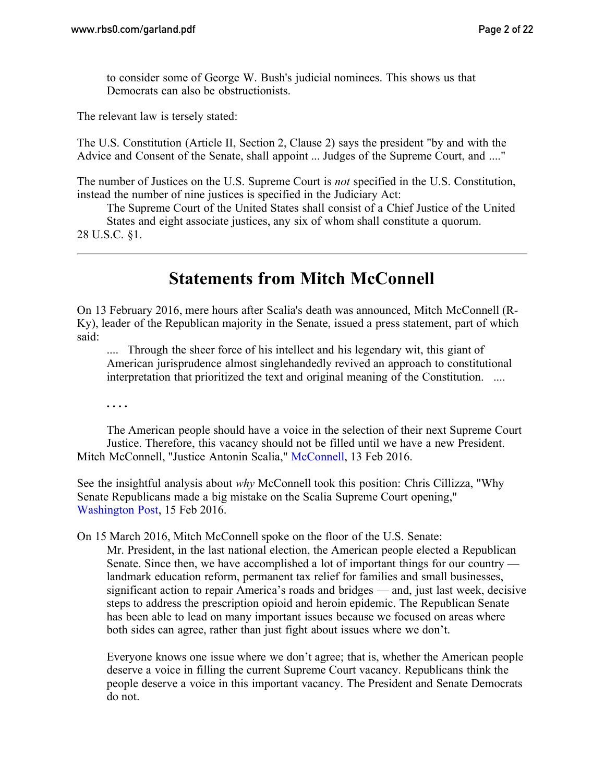to consider some of George W. Bush's judicial nominees. This shows us that Democrats can also be obstructionists.

The relevant law is tersely stated:

The U.S. Constitution (Article II, Section 2, Clause 2) says the president "by and with the Advice and Consent of the Senate, shall appoint ... Judges of the Supreme Court, and ...."

The number of Justices on the U.S. Supreme Court is *not* specified in the U.S. Constitution, instead the number of nine justices is specified in the Judiciary Act:

The Supreme Court of the United States shall consist of a Chief Justice of the United States and eight associate justices, any six of whom shall constitute a quorum. 28 U.S.C. §1.

# **Statements from Mitch McConnell**

On 13 February 2016, mere hours after Scalia's death was announced, Mitch McConnell (R-Ky), leader of the Republican majority in the Senate, issued a press statement, part of which said:

.... Through the sheer force of his intellect and his legendary wit, this giant of American jurisprudence almost singlehandedly revived an approach to constitutional interpretation that prioritized the text and original meaning of the Constitution. ....

**. . . .**

The American people should have a voice in the selection of their next Supreme Court Justice. Therefore, this vacancy should not be filled until we have a new President. Mitch [McConnell,](http://www.mcconnell.senate.gov/public/index.cfm/2016/2/justice-antonin-scalia) "Justice Antonin Scalia," McConnell, 13 Feb 2016.

See the insightful analysis about *why* McConnell took this position: Chris Cillizza, "Why Senate Republicans made a big mistake on the Scalia Supreme Court opening," [Washington Post,](https://www.washingtonpost.com/news/the-fix/wp/2016/02/15/why-senate-republicans-made-a-big-mistake-on-the-supreme-court-opening/) 15 Feb 2016.

On 15 March 2016, Mitch McConnell spoke on the floor of the U.S. Senate:

Mr. President, in the last national election, the American people elected a Republican Senate. Since then, we have accomplished a lot of important things for our country landmark education reform, permanent tax relief for families and small businesses, significant action to repair America's roads and bridges — and, just last week, decisive steps to address the prescription opioid and heroin epidemic. The Republican Senate has been able to lead on many important issues because we focused on areas where both sides can agree, rather than just fight about issues where we don't.

Everyone knows one issue where we don't agree; that is, whether the American people deserve a voice in filling the current Supreme Court vacancy. Republicans think the people deserve a voice in this important vacancy. The President and Senate Democrats do not.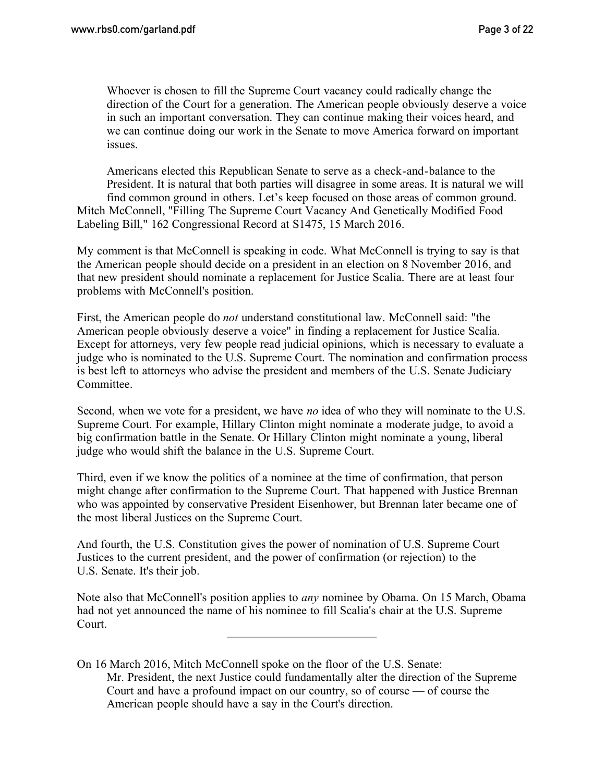Whoever is chosen to fill the Supreme Court vacancy could radically change the direction of the Court for a generation. The American people obviously deserve a voice in such an important conversation. They can continue making their voices heard, and we can continue doing our work in the Senate to move America forward on important issues.

Americans elected this Republican Senate to serve as a check-and-balance to the President. It is natural that both parties will disagree in some areas. It is natural we will find common ground in others. Let's keep focused on those areas of common ground. Mitch McConnell, "Filling The Supreme Court Vacancy And Genetically Modified Food Labeling Bill," 162 Congressional Record at S1475, 15 March 2016.

My comment is that McConnell is speaking in code. What McConnell is trying to say is that the American people should decide on a president in an election on 8 November 2016, and that new president should nominate a replacement for Justice Scalia. There are at least four problems with McConnell's position.

First, the American people do *not* understand constitutional law. McConnell said: "the American people obviously deserve a voice" in finding a replacement for Justice Scalia. Except for attorneys, very few people read judicial opinions, which is necessary to evaluate a judge who is nominated to the U.S. Supreme Court. The nomination and confirmation process is best left to attorneys who advise the president and members of the U.S. Senate Judiciary Committee.

Second, when we vote for a president, we have *no* idea of who they will nominate to the U.S. Supreme Court. For example, Hillary Clinton might nominate a moderate judge, to avoid a big confirmation battle in the Senate. Or Hillary Clinton might nominate a young, liberal judge who would shift the balance in the U.S. Supreme Court.

Third, even if we know the politics of a nominee at the time of confirmation, that person might change after confirmation to the Supreme Court. That happened with Justice Brennan who was appointed by conservative President Eisenhower, but Brennan later became one of the most liberal Justices on the Supreme Court.

And fourth, the U.S. Constitution gives the power of nomination of U.S. Supreme Court Justices to the current president, and the power of confirmation (or rejection) to the U.S. Senate. It's their job.

Note also that McConnell's position applies to *any* nominee by Obama. On 15 March, Obama had not yet announced the name of his nominee to fill Scalia's chair at the U.S. Supreme Court.

On 16 March 2016, Mitch McConnell spoke on the floor of the U.S. Senate: Mr. President, the next Justice could fundamentally alter the direction of the Supreme Court and have a profound impact on our country, so of course — of course the American people should have a say in the Court's direction.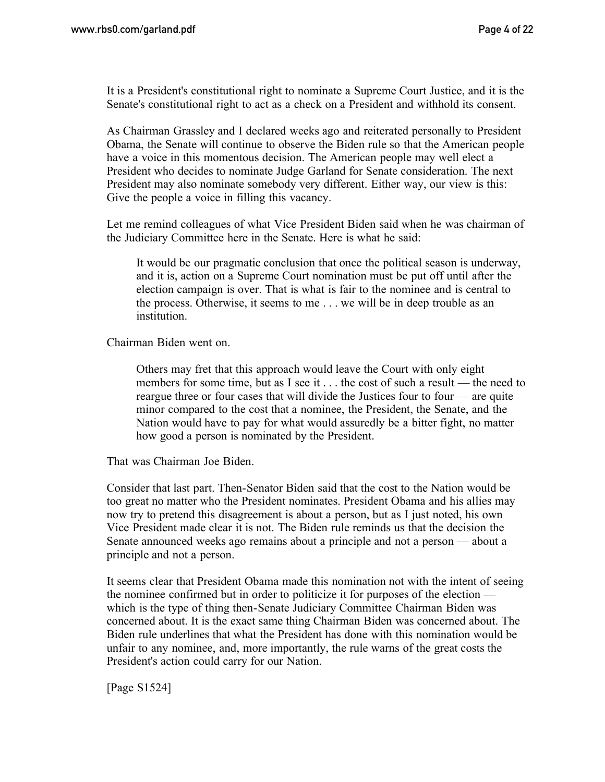It is a President's constitutional right to nominate a Supreme Court Justice, and it is the Senate's constitutional right to act as a check on a President and withhold its consent.

As Chairman Grassley and I declared weeks ago and reiterated personally to President Obama, the Senate will continue to observe the Biden rule so that the American people have a voice in this momentous decision. The American people may well elect a President who decides to nominate Judge Garland for Senate consideration. The next President may also nominate somebody very different. Either way, our view is this: Give the people a voice in filling this vacancy.

Let me remind colleagues of what Vice President Biden said when he was chairman of the Judiciary Committee here in the Senate. Here is what he said:

It would be our pragmatic conclusion that once the political season is underway, and it is, action on a Supreme Court nomination must be put off until after the election campaign is over. That is what is fair to the nominee and is central to the process. Otherwise, it seems to me . . . we will be in deep trouble as an institution.

Chairman Biden went on.

Others may fret that this approach would leave the Court with only eight members for some time, but as I see it . . . the cost of such a result — the need to reargue three or four cases that will divide the Justices four to four — are quite minor compared to the cost that a nominee, the President, the Senate, and the Nation would have to pay for what would assuredly be a bitter fight, no matter how good a person is nominated by the President.

That was Chairman Joe Biden.

Consider that last part. Then-Senator Biden said that the cost to the Nation would be too great no matter who the President nominates. President Obama and his allies may now try to pretend this disagreement is about a person, but as I just noted, his own Vice President made clear it is not. The Biden rule reminds us that the decision the Senate announced weeks ago remains about a principle and not a person — about a principle and not a person.

It seems clear that President Obama made this nomination not with the intent of seeing the nominee confirmed but in order to politicize it for purposes of the election which is the type of thing then-Senate Judiciary Committee Chairman Biden was concerned about. It is the exact same thing Chairman Biden was concerned about. The Biden rule underlines that what the President has done with this nomination would be unfair to any nominee, and, more importantly, the rule warns of the great costs the President's action could carry for our Nation.

[Page S1524]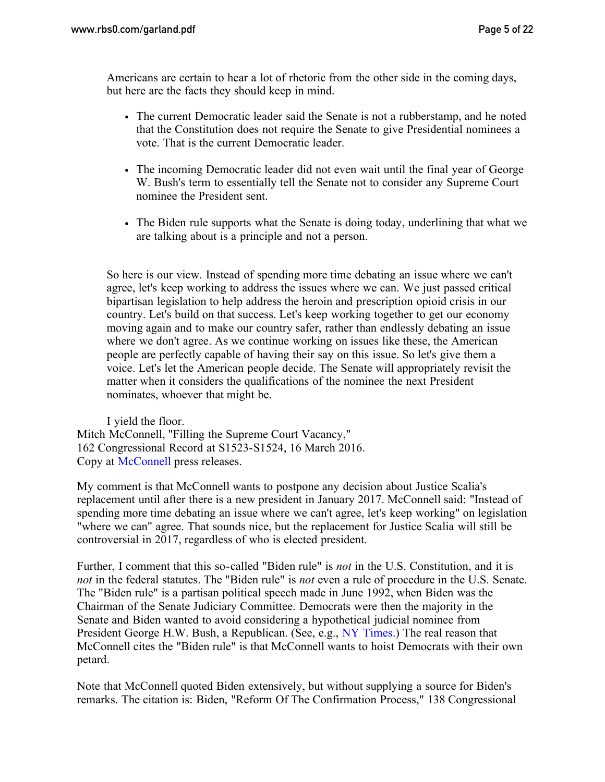Americans are certain to hear a lot of rhetoric from the other side in the coming days, but here are the facts they should keep in mind.

- The current Democratic leader said the Senate is not a rubberstamp, and he noted that the Constitution does not require the Senate to give Presidential nominees a vote. That is the current Democratic leader.
- The incoming Democratic leader did not even wait until the final year of George W. Bush's term to essentially tell the Senate not to consider any Supreme Court nominee the President sent.
- The Biden rule supports what the Senate is doing today, underlining that what we are talking about is a principle and not a person.

So here is our view. Instead of spending more time debating an issue where we can't agree, let's keep working to address the issues where we can. We just passed critical bipartisan legislation to help address the heroin and prescription opioid crisis in our country. Let's build on that success. Let's keep working together to get our economy moving again and to make our country safer, rather than endlessly debating an issue where we don't agree. As we continue working on issues like these, the American people are perfectly capable of having their say on this issue. So let's give them a voice. Let's let the American people decide. The Senate will appropriately revisit the matter when it considers the qualifications of the nominee the next President nominates, whoever that might be.

I yield the floor. Mitch McConnell, "Filling the Supreme Court Vacancy," 162 Congressional Record at S1523-S1524, 16 March 2016. Copy at [McConnell](http://www.mcconnell.senate.gov/public/index.cfm/2016/3/mcconnell-on-supreme-court-nomination) press releases.

My comment is that McConnell wants to postpone any decision about Justice Scalia's replacement until after there is a new president in January 2017. McConnell said: "Instead of spending more time debating an issue where we can't agree, let's keep working" on legislation "where we can" agree. That sounds nice, but the replacement for Justice Scalia will still be controversial in 2017, regardless of who is elected president.

Further, I comment that this so-called "Biden rule" is *not* in the U.S. Constitution, and it is *not* in the federal statutes. The "Biden rule" is *not* even a rule of procedure in the U.S. Senate. The "Biden rule" is a partisan political speech made in June 1992, when Biden was the Chairman of the Senate Judiciary Committee. Democrats were then the majority in the Senate and Biden wanted to avoid considering a hypothetical judicial nominee from President George H.W. Bush, a Republican. (See, e.g., [NY Times.](http://www.nytimes.com/2016/02/23/us/politics/joe-biden-argued-for-delaying-supreme-court-picks-in-1992.html)) The real reason that McConnell cites the "Biden rule" is that McConnell wants to hoist Democrats with their own petard.

Note that McConnell quoted Biden extensively, but without supplying a source for Biden's remarks. The citation is: Biden, "Reform Of The Confirmation Process," 138 Congressional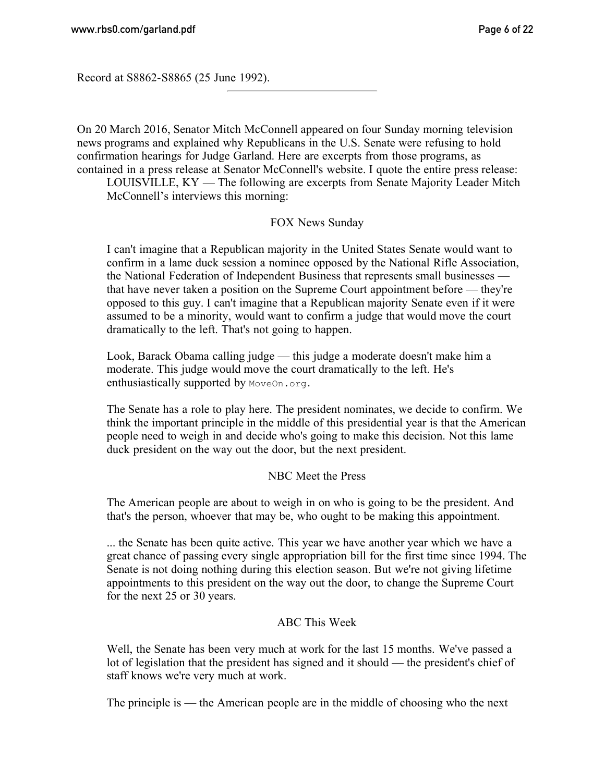Record at S8862-S8865 (25 June 1992).

On 20 March 2016, Senator Mitch McConnell appeared on four Sunday morning television news programs and explained why Republicans in the U.S. Senate were refusing to hold confirmation hearings for Judge Garland. Here are excerpts from those programs, as contained in a press release at Senator McConnell's website. I quote the entire press release:

LOUISVILLE, KY — The following are excerpts from Senate Majority Leader Mitch McConnell's interviews this morning:

### FOX News Sunday

I can't imagine that a Republican majority in the United States Senate would want to confirm in a lame duck session a nominee opposed by the National Rifle Association, the National Federation of Independent Business that represents small businesses that have never taken a position on the Supreme Court appointment before — they're opposed to this guy. I can't imagine that a Republican majority Senate even if it were assumed to be a minority, would want to confirm a judge that would move the court dramatically to the left. That's not going to happen.

Look, Barack Obama calling judge — this judge a moderate doesn't make him a moderate. This judge would move the court dramatically to the left. He's enthusiastically supported by MoveOn.org.

The Senate has a role to play here. The president nominates, we decide to confirm. We think the important principle in the middle of this presidential year is that the American people need to weigh in and decide who's going to make this decision. Not this lame duck president on the way out the door, but the next president.

#### NBC Meet the Press

The American people are about to weigh in on who is going to be the president. And that's the person, whoever that may be, who ought to be making this appointment.

... the Senate has been quite active. This year we have another year which we have a great chance of passing every single appropriation bill for the first time since 1994. The Senate is not doing nothing during this election season. But we're not giving lifetime appointments to this president on the way out the door, to change the Supreme Court for the next 25 or 30 years.

#### ABC This Week

Well, the Senate has been very much at work for the last 15 months. We've passed a lot of legislation that the president has signed and it should — the president's chief of staff knows we're very much at work.

The principle is — the American people are in the middle of choosing who the next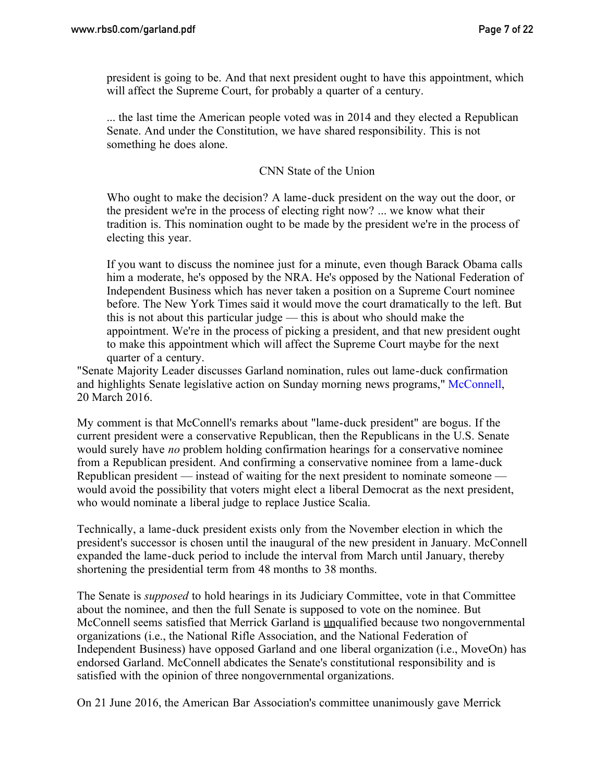president is going to be. And that next president ought to have this appointment, which will affect the Supreme Court, for probably a quarter of a century.

... the last time the American people voted was in 2014 and they elected a Republican Senate. And under the Constitution, we have shared responsibility. This is not something he does alone.

#### CNN State of the Union

Who ought to make the decision? A lame-duck president on the way out the door, or the president we're in the process of electing right now? ... we know what their tradition is. This nomination ought to be made by the president we're in the process of electing this year.

If you want to discuss the nominee just for a minute, even though Barack Obama calls him a moderate, he's opposed by the NRA. He's opposed by the National Federation of Independent Business which has never taken a position on a Supreme Court nominee before. The New York Times said it would move the court dramatically to the left. But this is not about this particular judge — this is about who should make the appointment. We're in the process of picking a president, and that new president ought to make this appointment which will affect the Supreme Court maybe for the next quarter of a century.

"Senate Majority Leader discusses Garland nomination, rules out lame-duck confirmation and highlights Senate legislative action on Sunday morning news programs," [McConnell,](http://www.mcconnell.senate.gov/public/index.cfm/2016/3/mcconnell-on-scotus-vacancy) 20 March 2016.

My comment is that McConnell's remarks about "lame-duck president" are bogus. If the current president were a conservative Republican, then the Republicans in the U.S. Senate would surely have *no* problem holding confirmation hearings for a conservative nominee from a Republican president. And confirming a conservative nominee from a lame-duck Republican president — instead of waiting for the next president to nominate someone would avoid the possibility that voters might elect a liberal Democrat as the next president, who would nominate a liberal judge to replace Justice Scalia.

Technically, a lame-duck president exists only from the November election in which the president's successor is chosen until the inaugural of the new president in January. McConnell expanded the lame-duck period to include the interval from March until January, thereby shortening the presidential term from 48 months to 38 months.

The Senate is *supposed* to hold hearings in its Judiciary Committee, vote in that Committee about the nominee, and then the full Senate is supposed to vote on the nominee. But McConnell seems satisfied that Merrick Garland is unqualified because two nongovernmental organizations (i.e., the National Rifle Association, and the National Federation of Independent Business) have opposed Garland and one liberal organization (i.e., MoveOn) has endorsed Garland. McConnell abdicates the Senate's constitutional responsibility and is satisfied with the opinion of three nongovernmental organizations.

On 21 June 2016, the American Bar Association's committee unanimously gave Merrick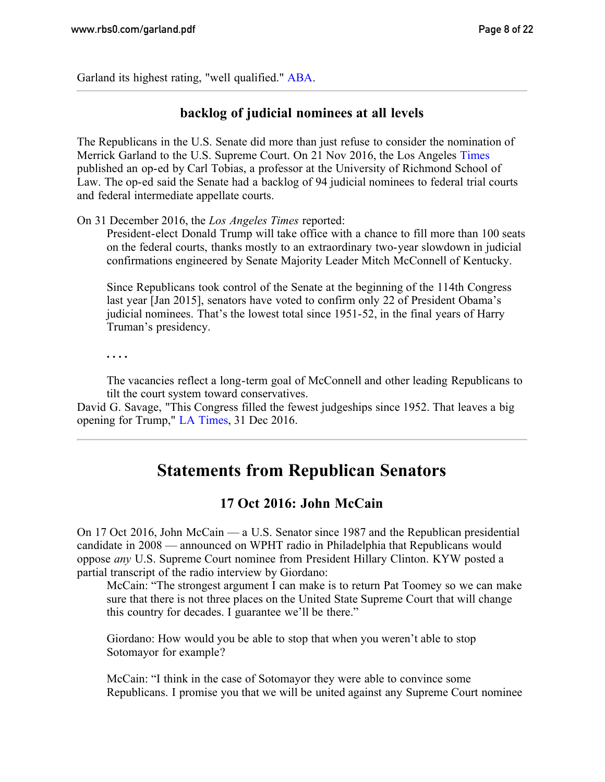Garland its highest rating, "well qualified." [ABA.](http://www.americanbar.org/publications/governmental_affairs_periodicals/washingtonletter/2016/june/garland.html)

### **backlog of judicial nominees at all levels**

The Republicans in the U.S. Senate did more than just refuse to consider the nomination of Merrick Garland to the U.S. Supreme Court. On 21 Nov 2016, the Los Angeles [Times](http://www.latimes.com/opinion/op-ed/la-oe-tobias-federal-judges-vacancies-20161121-story.html) published an op-ed by Carl Tobias, a professor at the University of Richmond School of Law. The op-ed said the Senate had a backlog of 94 judicial nominees to federal trial courts and federal intermediate appellate courts.

On 31 December 2016, the *Los Angeles Times* reported:

President-elect Donald Trump will take office with a chance to fill more than 100 seats on the federal courts, thanks mostly to an extraordinary two-year slowdown in judicial confirmations engineered by Senate Majority Leader Mitch McConnell of Kentucky.

Since Republicans took control of the Senate at the beginning of the 114th Congress last year [Jan 2015], senators have voted to confirm only 22 of President Obama's judicial nominees. That's the lowest total since 1951-52, in the final years of Harry Truman's presidency.

**. . . .**

The vacancies reflect a long-term goal of McConnell and other leading Republicans to tilt the court system toward conservatives.

<span id="page-7-0"></span>David G. Savage, "This Congress filled the fewest judgeships since 1952. That leaves a big opening for Trump," [LA Times,](http://www.latimes.com/politics/la-na-judges-trump-senate-20161231-story.html) 31 Dec 2016.

# **Statements from Republican Senators**

### **17 Oct 2016: John McCain**

On 17 Oct 2016, John McCain — a U.S. Senator since 1987 and the Republican presidential candidate in 2008 — announced on WPHT radio in Philadelphia that Republicans would oppose *any* U.S. Supreme Court nominee from President Hillary Clinton. KYW posted a partial transcript of the radio interview by Giordano:

McCain: "The strongest argument I can make is to return Pat Toomey so we can make sure that there is not three places on the United State Supreme Court that will change this country for decades. I guarantee we'll be there."

Giordano: How would you be able to stop that when you weren't able to stop Sotomayor for example?

McCain: "I think in the case of Sotomayor they were able to convince some Republicans. I promise you that we will be united against any Supreme Court nominee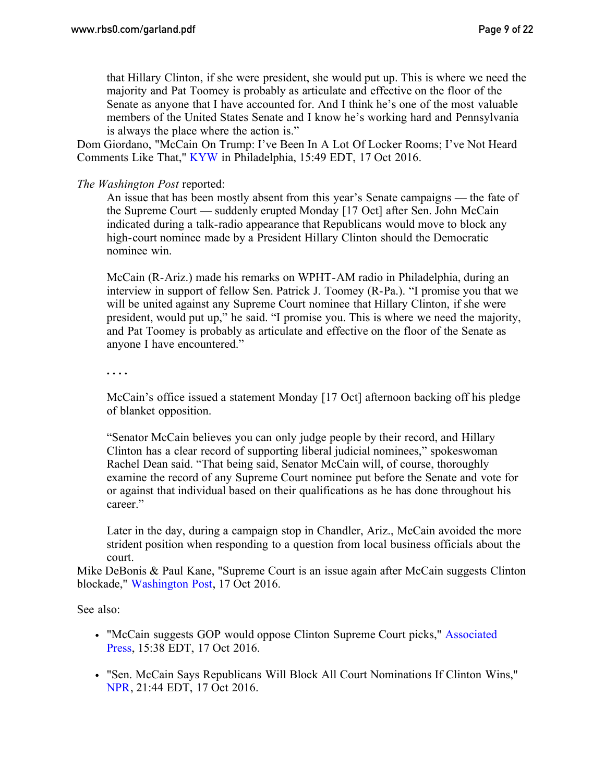that Hillary Clinton, if she were president, she would put up. This is where we need the majority and Pat Toomey is probably as articulate and effective on the floor of the Senate as anyone that I have accounted for. And I think he's one of the most valuable members of the United States Senate and I know he's working hard and Pennsylvania is always the place where the action is."

Dom Giordano, "McCain On Trump: I've Been In A Lot Of Locker Rooms; I've Not Heard Comments Like That," [KYW](http://philadelphia.cbslocal.com/2016/10/17/sen-john-mccain-comments-on-trumps-locker-room-remarks/) in Philadelphia, 15:49 EDT, 17 Oct 2016.

*The Washington Post* reported:

An issue that has been mostly absent from this year's Senate campaigns — the fate of the Supreme Court — suddenly erupted Monday [17 Oct] after Sen. John McCain indicated during a talk-radio appearance that Republicans would move to block any high-court nominee made by a President Hillary Clinton should the Democratic nominee win.

McCain (R-Ariz.) made his remarks on WPHT-AM radio in Philadelphia, during an interview in support of fellow Sen. Patrick J. Toomey (R-Pa.). "I promise you that we will be united against any Supreme Court nominee that Hillary Clinton, if she were president, would put up," he said. "I promise you. This is where we need the majority, and Pat Toomey is probably as articulate and effective on the floor of the Senate as anyone I have encountered."

**. . . .**

McCain's office issued a statement Monday [17 Oct] afternoon backing off his pledge of blanket opposition.

"Senator McCain believes you can only judge people by their record, and Hillary Clinton has a clear record of supporting liberal judicial nominees," spokeswoman Rachel Dean said. "That being said, Senator McCain will, of course, thoroughly examine the record of any Supreme Court nominee put before the Senate and vote for or against that individual based on their qualifications as he has done throughout his career."

Later in the day, during a campaign stop in Chandler, Ariz., McCain avoided the more strident position when responding to a question from local business officials about the court.

Mike DeBonis & Paul Kane, "Supreme Court is an issue again after McCain suggests Clinton blockade," [Washington Post,](https://www.washingtonpost.com/news/powerpost/wp/2016/10/17/supreme-court-is-an-issue-again-after-mccain-suggests-clinton-blockade/) 17 Oct 2016.

See also:

- "McCain suggests GOP would oppose Clinton Supreme Court picks," [Associated](http://bigstory.ap.org/article/b5682951fb634dd7b92f4bb7ee525549/mccain-suggests-gop-would-oppose-clinton-supreme-court) [Press,](http://bigstory.ap.org/article/b5682951fb634dd7b92f4bb7ee525549/mccain-suggests-gop-would-oppose-clinton-supreme-court) 15:38 EDT, 17 Oct 2016.
- "Sen. McCain Says Republicans Will Block All Court Nominations If Clinton Wins," [NPR](http://www.npr.org/2016/10/17/498328520/sen-mccain-says-republicans-will-block-all-court-nominations-if-clinton-wins), 21:44 EDT, 17 Oct 2016.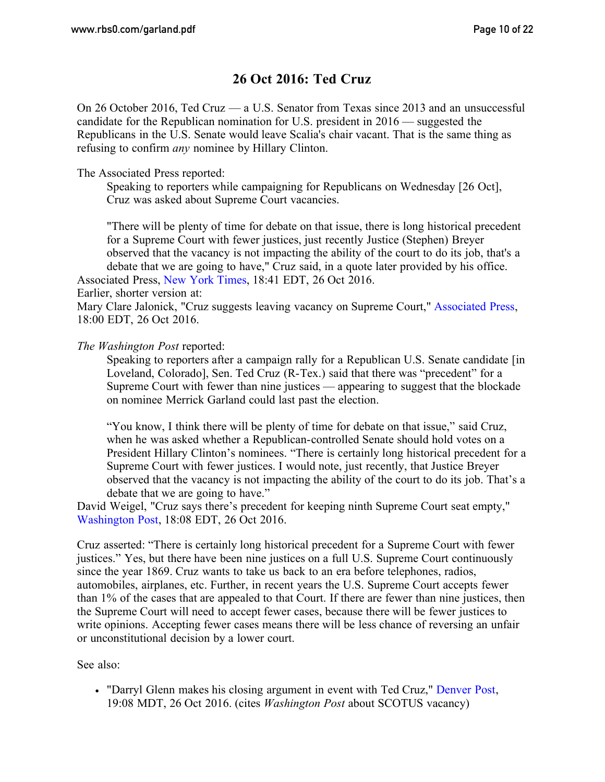### **26 Oct 2016: Ted Cruz**

On 26 October 2016, Ted Cruz — a U.S. Senator from Texas since 2013 and an unsuccessful candidate for the Republican nomination for U.S. president in 2016 — suggested the Republicans in the U.S. Senate would leave Scalia's chair vacant. That is the same thing as refusing to confirm *any* nominee by Hillary Clinton.

The Associated Press reported:

Speaking to reporters while campaigning for Republicans on Wednesday [26 Oct], Cruz was asked about Supreme Court vacancies.

"There will be plenty of time for debate on that issue, there is long historical precedent for a Supreme Court with fewer justices, just recently Justice (Stephen) Breyer observed that the vacancy is not impacting the ability of the court to do its job, that's a debate that we are going to have," Cruz said, in a quote later provided by his office. Associated Press, [New York Times,](http://www.nytimes.com/aponline/2016/10/26/us/politics/ap-us-cruz-supreme-court.html) 18:41 EDT, 26 Oct 2016.

Earlier, shorter version at:

Mary Clare Jalonick, "Cruz suggests leaving vacancy on Supreme Court," [Associated Press,](http://bigstory.ap.org/article/25286a65e724448ba546add6d4446f39/cruz-suggests-leaving-vacancy-supreme-court) 18:00 EDT, 26 Oct 2016.

*The Washington Post* reported:

Speaking to reporters after a campaign rally for a Republican U.S. Senate candidate [in Loveland, Colorado], Sen. Ted Cruz (R-Tex.) said that there was "precedent" for a Supreme Court with fewer than nine justices — appearing to suggest that the blockade on nominee Merrick Garland could last past the election.

"You know, I think there will be plenty of time for debate on that issue," said Cruz, when he was asked whether a Republican-controlled Senate should hold votes on a President Hillary Clinton's nominees. "There is certainly long historical precedent for a Supreme Court with fewer justices. I would note, just recently, that Justice Breyer observed that the vacancy is not impacting the ability of the court to do its job. That's a debate that we are going to have."

David Weigel, "Cruz says there's precedent for keeping ninth Supreme Court seat empty," [Washington Post,](https://www.washingtonpost.com/news/post-politics/wp/2016/10/26/cruz-says-theres-precedent-for-keeping-ninth-supreme-court-seat-empty/) 18:08 EDT, 26 Oct 2016.

Cruz asserted: "There is certainly long historical precedent for a Supreme Court with fewer justices." Yes, but there have been nine justices on a full U.S. Supreme Court continuously since the year 1869. Cruz wants to take us back to an era before telephones, radios, automobiles, airplanes, etc. Further, in recent years the U.S. Supreme Court accepts fewer than 1% of the cases that are appealed to that Court. If there are fewer than nine justices, then the Supreme Court will need to accept fewer cases, because there will be fewer justices to write opinions. Accepting fewer cases means there will be less chance of reversing an unfair or unconstitutional decision by a lower court.

See also:

"Darryl Glenn makes his closing argument in event with Ted Cruz," [Denver Post,](http://www.denverpost.com/2016/10/26/darryl-glenn-makes-his-closing-argument-in-event-with-ted-cruz/) 19:08 MDT, 26 Oct 2016. (cites *Washington Post* about SCOTUS vacancy)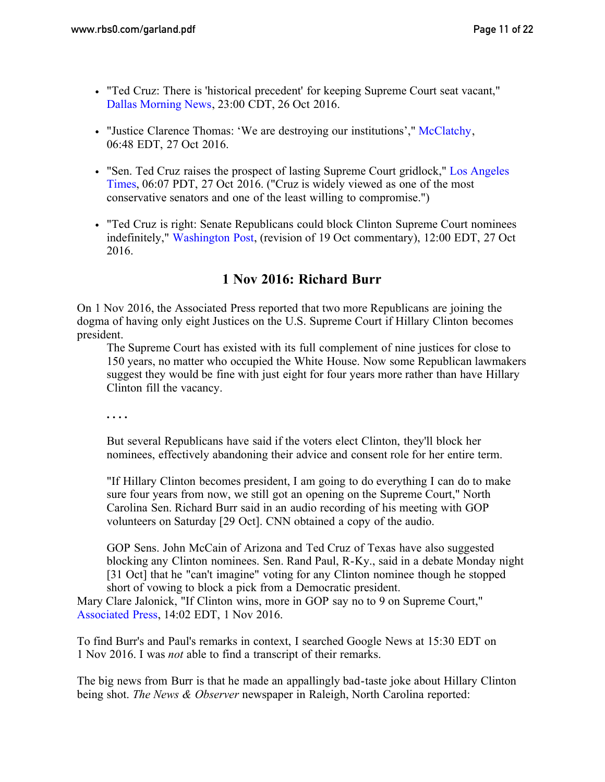- "Ted Cruz: There is 'historical precedent' for keeping Supreme Court seat vacant," [Dallas Morning News,](http://www.dallasnews.com/news/2016-presidential-election/2016/10/26/ted-cruz-historical-precedent-keeping-supreme-court-seat-vacant) 23:00 CDT, 26 Oct 2016.
- "Justice Clarence Thomas: 'We are destroying our institutions'," [McClatchy,](http://www.mcclatchydc.com/news/politics-government/election/article110751582.html) 06:48 EDT, 27 Oct 2016.
- "Sen. Ted Cruz raises the prospect of lasting Supreme Court gridlock," [Los Angeles](http://www.latimes.com/nation/politics/trailguide/la-na-trailguide-updates-sen-ted-cruz-raises-the-prospect-of-1477573201-htmlstory.html) [Times](http://www.latimes.com/nation/politics/trailguide/la-na-trailguide-updates-sen-ted-cruz-raises-the-prospect-of-1477573201-htmlstory.html), 06:07 PDT, 27 Oct 2016. ("Cruz is widely viewed as one of the most conservative senators and one of the least willing to compromise.")
- "Ted Cruz is right: Senate Republicans could block Clinton Supreme Court nominees indefinitely," [Washington Post,](https://www.washingtonpost.com/news/the-fix/wp/2016/10/19/john-mccain-is-right-senate-republicans-could-block-a-clinton-supreme-court-indefinitely/) (revision of 19 Oct commentary), 12:00 EDT, 27 Oct 2016.

# **1 Nov 2016: Richard Burr**

On 1 Nov 2016, the Associated Press reported that two more Republicans are joining the dogma of having only eight Justices on the U.S. Supreme Court if Hillary Clinton becomes president.

The Supreme Court has existed with its full complement of nine justices for close to 150 years, no matter who occupied the White House. Now some Republican lawmakers suggest they would be fine with just eight for four years more rather than have Hillary Clinton fill the vacancy.

**. . . .**

But several Republicans have said if the voters elect Clinton, they'll block her nominees, effectively abandoning their advice and consent role for her entire term.

"If Hillary Clinton becomes president, I am going to do everything I can do to make sure four years from now, we still got an opening on the Supreme Court," North Carolina Sen. Richard Burr said in an audio recording of his meeting with GOP volunteers on Saturday [29 Oct]. CNN obtained a copy of the audio.

GOP Sens. John McCain of Arizona and Ted Cruz of Texas have also suggested blocking any Clinton nominees. Sen. Rand Paul, R-Ky., said in a debate Monday night [31 Oct] that he "can't imagine" voting for any Clinton nominee though he stopped short of vowing to block a pick from a Democratic president.

Mary Clare Jalonick, "If Clinton wins, more in GOP say no to 9 on Supreme Court," [Associated Press,](http://bigstory.ap.org/article/8ffd85eee5c74c9c8c07eb67eec0e42d/if-clinton-wins-more-gop-say-no-9-supreme-court) 14:02 EDT, 1 Nov 2016.

To find Burr's and Paul's remarks in context, I searched Google News at 15:30 EDT on 1 Nov 2016. I was *not* able to find a transcript of their remarks.

The big news from Burr is that he made an appallingly bad-taste joke about Hillary Clinton being shot. *The News & Observer* newspaper in Raleigh, North Carolina reported: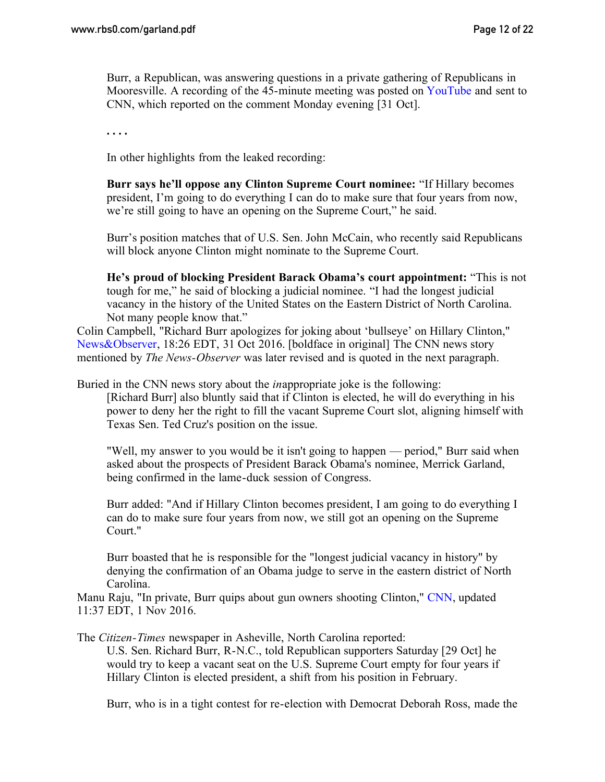Burr, a Republican, was answering questions in a private gathering of Republicans in Mooresville. A recording of the 45-minute meeting was posted on [YouTube](https://www.youtube.com/watch?v=muaIOpkBF88) and sent to CNN, which reported on the comment Monday evening [31 Oct].

**. . . .**

In other highlights from the leaked recording:

**Burr says he'll oppose any Clinton Supreme Court nominee:** "If Hillary becomes president, I'm going to do everything I can do to make sure that four years from now, we're still going to have an opening on the Supreme Court," he said.

Burr's position matches that of U.S. Sen. John McCain, who recently said Republicans will block anyone Clinton might nominate to the Supreme Court.

**He's proud of blocking President Barack Obama's court appointment:** "This is not tough for me," he said of blocking a judicial nominee. "I had the longest judicial vacancy in the history of the United States on the Eastern District of North Carolina. Not many people know that."

Colin Campbell, "Richard Burr apologizes for joking about 'bullseye' on Hillary Clinton," [News&Observer](http://www.newsobserver.com/news/politics-government/election/article111691277.html), 18:26 EDT, 31 Oct 2016. [boldface in original] The CNN news story mentioned by *The News-Observer* was later revised and is quoted in the next paragraph.

Buried in the CNN news story about the *in*appropriate joke is the following:

[Richard Burr] also bluntly said that if Clinton is elected, he will do everything in his power to deny her the right to fill the vacant Supreme Court slot, aligning himself with Texas Sen. Ted Cruz's position on the issue.

"Well, my answer to you would be it isn't going to happen — period," Burr said when asked about the prospects of President Barack Obama's nominee, Merrick Garland, being confirmed in the lame-duck session of Congress.

Burr added: "And if Hillary Clinton becomes president, I am going to do everything I can do to make sure four years from now, we still got an opening on the Supreme Court."

Burr boasted that he is responsible for the "longest judicial vacancy in history" by denying the confirmation of an Obama judge to serve in the eastern district of North Carolina.

Manu Raju, "In private, Burr quips about gun owners shooting Clinton," [CNN,](http://www.cnn.com/2016/10/31/politics/richard-burr-hillary-clinton-gun-owners/) updated 11:37 EDT, 1 Nov 2016.

The *Citizen-Times* newspaper in Asheville, North Carolina reported:

U.S. Sen. Richard Burr, R-N.C., told Republican supporters Saturday [29 Oct] he would try to keep a vacant seat on the U.S. Supreme Court empty for four years if Hillary Clinton is elected president, a shift from his position in February.

Burr, who is in a tight contest for re-election with Democrat Deborah Ross, made the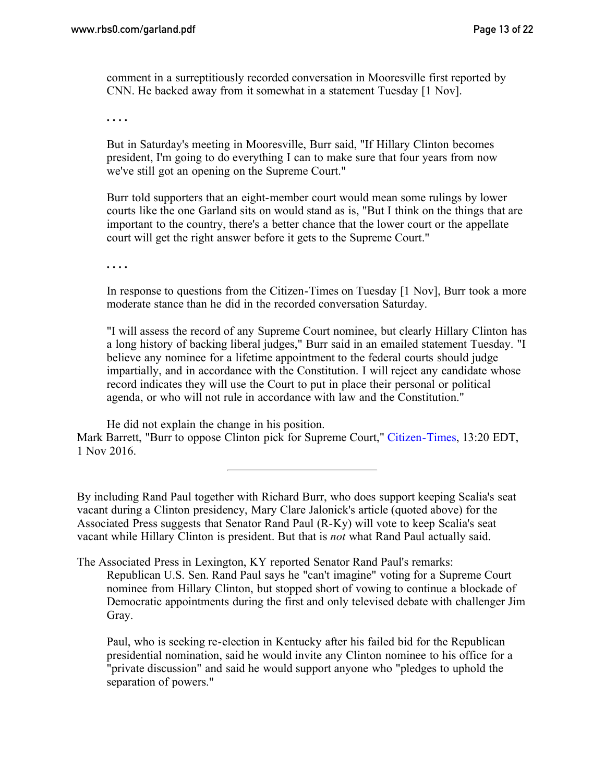comment in a surreptitiously recorded conversation in Mooresville first reported by CNN. He backed away from it somewhat in a statement Tuesday [1 Nov].

**. . . .**

But in Saturday's meeting in Mooresville, Burr said, "If Hillary Clinton becomes president, I'm going to do everything I can to make sure that four years from now we've still got an opening on the Supreme Court."

Burr told supporters that an eight-member court would mean some rulings by lower courts like the one Garland sits on would stand as is, "But I think on the things that are important to the country, there's a better chance that the lower court or the appellate court will get the right answer before it gets to the Supreme Court."

**. . . .**

In response to questions from the Citizen-Times on Tuesday [1 Nov], Burr took a more moderate stance than he did in the recorded conversation Saturday.

"I will assess the record of any Supreme Court nominee, but clearly Hillary Clinton has a long history of backing liberal judges," Burr said in an emailed statement Tuesday. "I believe any nominee for a lifetime appointment to the federal courts should judge impartially, and in accordance with the Constitution. I will reject any candidate whose record indicates they will use the Court to put in place their personal or political agenda, or who will not rule in accordance with law and the Constitution."

He did not explain the change in his position. Mark Barrett, "Burr to oppose Clinton pick for Supreme Court," [Citizen-Times,](http://www.citizen-times.com/story/news/local/2016/11/01/burr-oppose-clinton-pick-supreme-court/93111772/) 13:20 EDT, 1 Nov 2016.

By including Rand Paul together with Richard Burr, who does support keeping Scalia's seat vacant during a Clinton presidency, Mary Clare Jalonick's article (quoted above) for the Associated Press suggests that Senator Rand Paul (R-Ky) will vote to keep Scalia's seat vacant while Hillary Clinton is president. But that is *not* what Rand Paul actually said.

The Associated Press in Lexington, KY reported Senator Rand Paul's remarks: Republican U.S. Sen. Rand Paul says he "can't imagine" voting for a Supreme Court nominee from Hillary Clinton, but stopped short of vowing to continue a blockade of Democratic appointments during the first and only televised debate with challenger Jim Gray.

Paul, who is seeking re-election in Kentucky after his failed bid for the Republican presidential nomination, said he would invite any Clinton nominee to his office for a "private discussion" and said he would support anyone who "pledges to uphold the separation of powers."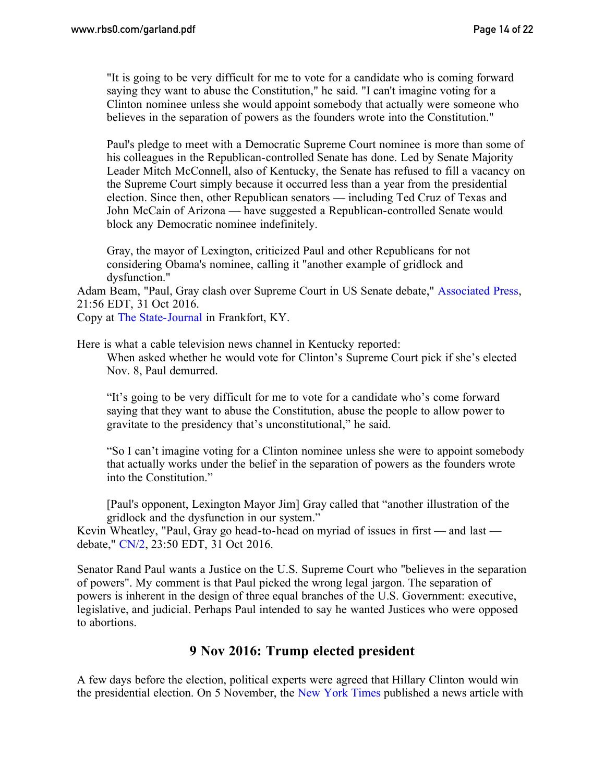"It is going to be very difficult for me to vote for a candidate who is coming forward saying they want to abuse the Constitution," he said. "I can't imagine voting for a Clinton nominee unless she would appoint somebody that actually were someone who believes in the separation of powers as the founders wrote into the Constitution."

Paul's pledge to meet with a Democratic Supreme Court nominee is more than some of his colleagues in the Republican-controlled Senate has done. Led by Senate Majority Leader Mitch McConnell, also of Kentucky, the Senate has refused to fill a vacancy on the Supreme Court simply because it occurred less than a year from the presidential election. Since then, other Republican senators — including Ted Cruz of Texas and John McCain of Arizona — have suggested a Republican-controlled Senate would block any Democratic nominee indefinitely.

Gray, the mayor of Lexington, criticized Paul and other Republicans for not considering Obama's nominee, calling it "another example of gridlock and dysfunction."

Adam Beam, "Paul, Gray clash over Supreme Court in US Senate debate," [Associated Press](http://bigstory.ap.org/article/3f022c04351d456b9de641201706d217/paul-gray-clash-over-supreme-court-us-senate-debate), 21:56 EDT, 31 Oct 2016.

Copy at [The State-Journal](http://www.state-journal.com/2016/11/01/republican-u-s-sen-rand-paul-challenger-jim-gray-clash-over-supreme-court/) in Frankfort, KY.

Here is what a cable television news channel in Kentucky reported: When asked whether he would vote for Clinton's Supreme Court pick if she's elected Nov. 8, Paul demurred.

"It's going to be very difficult for me to vote for a candidate who's come forward saying that they want to abuse the Constitution, abuse the people to allow power to gravitate to the presidency that's unconstitutional," he said.

"So I can't imagine voting for a Clinton nominee unless she were to appoint somebody that actually works under the belief in the separation of powers as the founders wrote into the Constitution."

[Paul's opponent, Lexington Mayor Jim] Gray called that "another illustration of the gridlock and the dysfunction in our system."

Kevin Wheatley, "Paul, Gray go head-to-head on myriad of issues in first — and last debate," [CN/2](http://mycn2.com/politics/paul-gray-go-head-to-head-on-myriad-of-issues-in-first-and-last-debate), 23:50 EDT, 31 Oct 2016.

Senator Rand Paul wants a Justice on the U.S. Supreme Court who "believes in the separation of powers". My comment is that Paul picked the wrong legal jargon. The separation of powers is inherent in the design of three equal branches of the U.S. Government: executive, legislative, and judicial. Perhaps Paul intended to say he wanted Justices who were opposed to abortions.

### **9 Nov 2016: Trump elected president**

<span id="page-13-0"></span>A few days before the election, political experts were agreed that Hillary Clinton would win the presidential election. On 5 November, the [New York Times](http://www.nytimes.com/2016/11/06/upshot/clinton-has-solid-lead-in-electoral-college-trumps-winning-map-is-unclear.html) published a news article with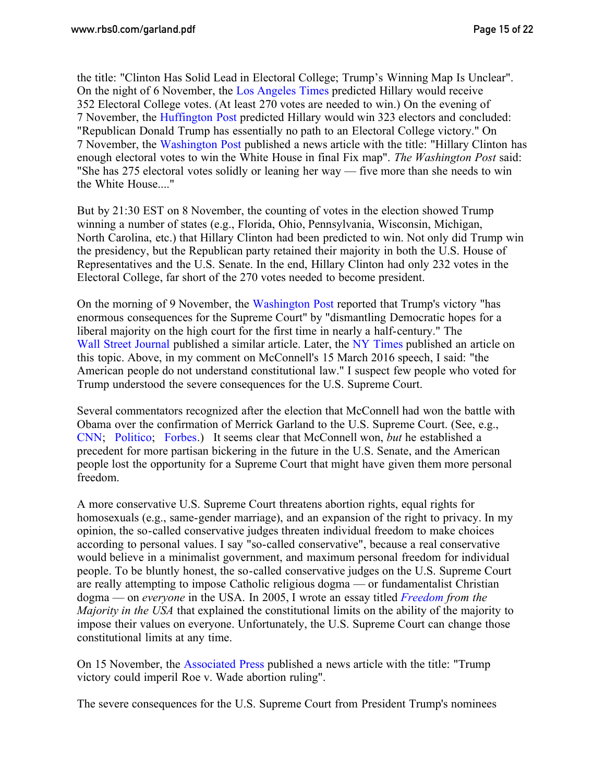the title: "Clinton Has Solid Lead in Electoral College; Trump's Winning Map Is Unclear". On the night of 6 November, the [Los Angeles Times](http://www.latimes.com/nation/politics/trailguide/la-na-trailguide-updates-here-s-our-final-electoral-map-of-the-1478473458-htmlstory.html) predicted Hillary would receive 352 Electoral College votes. (At least 270 votes are needed to win.) On the evening of 7 November, the [Huffington Post](http://www.huffingtonpost.com/entry/polls-hillary-clinton-win_us_5821074ce4b0e80b02cc2a94) predicted Hillary would win 323 electors and concluded: "Republican Donald Trump has essentially no path to an Electoral College victory." On 7 November, the [Washington Post](https://www.washingtonpost.com/news/the-fix/wp/2016/11/07/the-final-fix-map-shows-hillary-clinton-with-enough-electoral-votes-to-win-the-white-house/) published a news article with the title: "Hillary Clinton has enough electoral votes to win the White House in final Fix map". *The Washington Post* said: "She has 275 electoral votes solidly or leaning her way — five more than she needs to win the White House...."

But by 21:30 EST on 8 November, the counting of votes in the election showed Trump winning a number of states (e.g., Florida, Ohio, Pennsylvania, Wisconsin, Michigan, North Carolina, etc.) that Hillary Clinton had been predicted to win. Not only did Trump win the presidency, but the Republican party retained their majority in both the U.S. House of Representatives and the U.S. Senate. In the end, Hillary Clinton had only 232 votes in the Electoral College, far short of the 270 votes needed to become president.

On the morning of 9 November, the [Washington Post](https://www.washingtonpost.com/politics/courts_law/trumps-victory-has-enormous-consequences-for-the-supreme-court/2016/11/09/1ea52b3e-a671-11e6-ba59-a7d93165c6d4_story.html) reported that Trump's victory "has enormous consequences for the Supreme Court" by "dismantling Democratic hopes for a liberal majority on the high court for the first time in nearly a half-century." The [Wall Street Journal](http://www.wsj.com/articles/donald-trump-poised-to-tilt-supreme-court-1478700002) published a similar article. Later, the [NY Times](http://www.nytimes.com/2016/11/10/us/politics/trump-supreme-court.html) published an article on this topic. Above, in my comment on McConnell's 15 March 2016 speech, I said: "the American people do not understand constitutional law." I suspect few people who voted for Trump understood the severe consequences for the U.S. Supreme Court.

Several commentators recognized after the election that McConnell had won the battle with Obama over the confirmation of Merrick Garland to the U.S. Supreme Court. (See, e.g., [CNN;](http://www.cnn.com/2016/11/09/politics/merrick-garland-supreme-court/) [Politico;](http://www.politico.com/story/2016/11/supreme-court-mitch-mcconnell-231150) [Forbes.](http://www.forbes.com/sites/danielfisher/2016/11/09/trump-victory-keeps-conservative-agenda-alive/)) It seems clear that McConnell won, *but* he established a precedent for more partisan bickering in the future in the U.S. Senate, and the American people lost the opportunity for a Supreme Court that might have given them more personal freedom.

A more conservative U.S. Supreme Court threatens abortion rights, equal rights for homosexuals (e.g., same-gender marriage), and an expansion of the right to privacy. In my opinion, the so-called conservative judges threaten individual freedom to make choices according to personal values. I say "so-called conservative", because a real conservative would believe in a minimalist government, and maximum personal freedom for individual people. To be bluntly honest, the so-called conservative judges on the U.S. Supreme Court are really attempting to impose Catholic religious dogma — or fundamentalist Christian dogma — on *everyone* in the USA. In 2005, I wrote an essay titled *[Freedom](http://www.rbs2.com/majority.pdf) from the Majority in the USA* that explained the constitutional limits on the ability of the majority to impose their values on everyone. Unfortunately, the U.S. Supreme Court can change those constitutional limits at any time.

On 15 November, the [Associated Press](http://bigstory.ap.org/article/a9abff0bcdbe40c7a2f82018d614fc37/trump-victory-could-imperil-roe-v-wade-abortion-ruling) published a news article with the title: "Trump victory could imperil Roe v. Wade abortion ruling".

The severe consequences for the U.S. Supreme Court from President Trump's nominees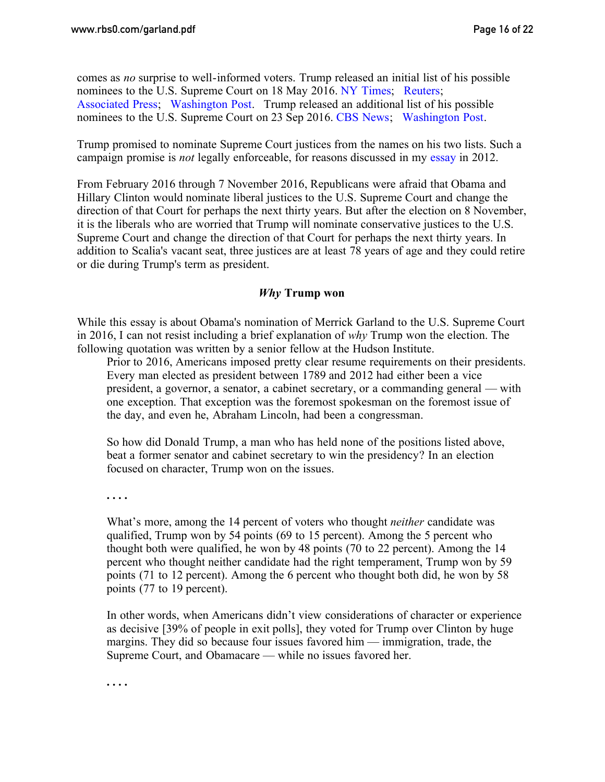comes as *no* surprise to well-informed voters. Trump released an initial list of his possible nominees to the U.S. Supreme Court on 18 May 2016. [NY Times;](http://www.nytimes.com/2016/05/19/us/politics/donald-trump-supreme-court-nominees.html) [Reuters;](http://www.reuters.com/article/us-usa-election-trump-court-list-idUSKCN0YA2XV) [Associated Press;](http://elections.ap.org/content/trump-unveils-list-potential-picks-supreme-court-seat) [Washington Post.](https://www.washingtonpost.com/news/post-politics/wp/2016/05/18/donald-trump-releases-list-of-11-potential-supreme-court-nominees/) Trump released an additional list of his possible nominees to the U.S. Supreme Court on 23 Sep 2016. [CBS News;](http://www.cbsnews.com/news/donald-trump-expands-list-of-possible-supreme-court-picks/) [Washington Post.](https://www.washingtonpost.com/news/volokh-conspiracy/wp/2016/09/24/donald-trumps-expanded-supreme-court-list-changes-nothing/)

Trump promised to nominate Supreme Court justices from the names on his two lists. Such a campaign promise is *not* legally enforceable, for reasons discussed in my [essay](http://www.rbs2.com/elecprom.pdf) in 2012.

From February 2016 through 7 November 2016, Republicans were afraid that Obama and Hillary Clinton would nominate liberal justices to the U.S. Supreme Court and change the direction of that Court for perhaps the next thirty years. But after the election on 8 November, it is the liberals who are worried that Trump will nominate conservative justices to the U.S. Supreme Court and change the direction of that Court for perhaps the next thirty years. In addition to Scalia's vacant seat, three justices are at least 78 years of age and they could retire or die during Trump's term as president.

### *Why* **Trump won**

While this essay is about Obama's nomination of Merrick Garland to the U.S. Supreme Court in 2016, I can not resist including a brief explanation of *why* Trump won the election. The following quotation was written by a senior fellow at the Hudson Institute.

Prior to 2016, Americans imposed pretty clear resume requirements on their presidents. Every man elected as president between 1789 and 2012 had either been a vice president, a governor, a senator, a cabinet secretary, or a commanding general — with one exception. That exception was the foremost spokesman on the foremost issue of the day, and even he, Abraham Lincoln, had been a congressman.

So how did Donald Trump, a man who has held none of the positions listed above, beat a former senator and cabinet secretary to win the presidency? In an election focused on character, Trump won on the issues.

**. . . .**

What's more, among the 14 percent of voters who thought *neither* candidate was qualified, Trump won by 54 points (69 to 15 percent). Among the 5 percent who thought both were qualified, he won by 48 points (70 to 22 percent). Among the 14 percent who thought neither candidate had the right temperament, Trump won by 59 points (71 to 12 percent). Among the 6 percent who thought both did, he won by 58 points (77 to 19 percent).

In other words, when Americans didn't view considerations of character or experience as decisive [39% of people in exit polls], they voted for Trump over Clinton by huge margins. They did so because four issues favored him — immigration, trade, the Supreme Court, and Obamacare — while no issues favored her.

**. . . .**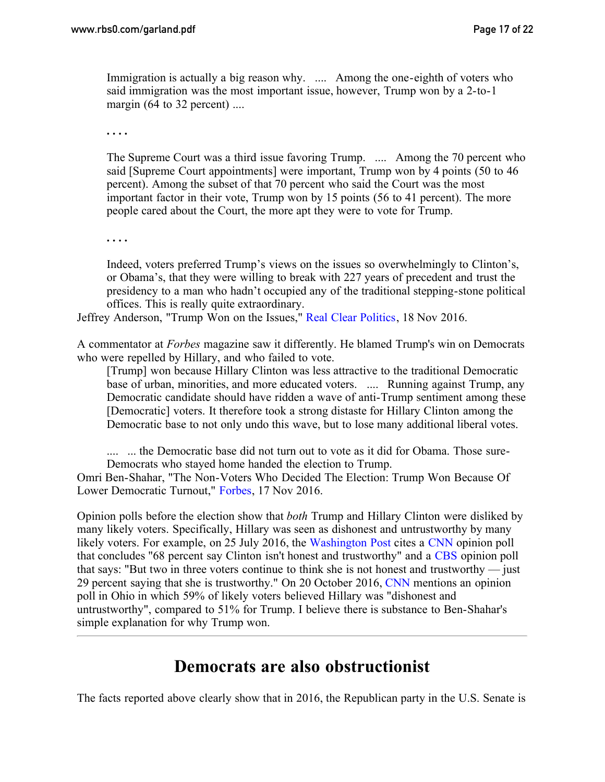Immigration is actually a big reason why. .... Among the one-eighth of voters who said immigration was the most important issue, however, Trump won by a 2-to-1 margin (64 to 32 percent) ....

**. . . .**

The Supreme Court was a third issue favoring Trump. .... Among the 70 percent who said [Supreme Court appointments] were important, Trump won by 4 points (50 to 46 percent). Among the subset of that 70 percent who said the Court was the most important factor in their vote, Trump won by 15 points (56 to 41 percent). The more people cared about the Court, the more apt they were to vote for Trump.

**. . . .**

Indeed, voters preferred Trump's views on the issues so overwhelmingly to Clinton's, or Obama's, that they were willing to break with 227 years of precedent and trust the presidency to a man who hadn't occupied any of the traditional stepping-stone political offices. This is really quite extraordinary.

Jeffrey Anderson, "Trump Won on the Issues," [Real Clear Politics,](http://www.realclearpolitics.com/articles/2016/11/18/trump_won_on_the_issues_132383.html) 18 Nov 2016.

A commentator at *Forbes* magazine saw it differently. He blamed Trump's win on Democrats who were repelled by Hillary, and who failed to vote.

[Trump] won because Hillary Clinton was less attractive to the traditional Democratic base of urban, minorities, and more educated voters. .... Running against Trump, any Democratic candidate should have ridden a wave of anti-Trump sentiment among these [Democratic] voters. It therefore took a strong distaste for Hillary Clinton among the Democratic base to not only undo this wave, but to lose many additional liberal votes.

......... the Democratic base did not turn out to vote as it did for Obama. Those sure-Democrats who stayed home handed the election to Trump.

Omri Ben-Shahar, "The Non-Voters Who Decided The Election: Trump Won Because Of Lower Democratic Turnout," [Forbes](http://www.forbes.com/sites/omribenshahar/2016/11/17/the-non-voters-who-decided-the-election-trump-won-because-of-lower-democratic-turnout/#c40478940a11), 17 Nov 2016.

Opinion polls before the election show that *both* Trump and Hillary Clinton were disliked by many likely voters. Specifically, Hillary was seen as dishonest and untrustworthy by many likely voters. For example, on 25 July 2016, the [Washington Post](https://www.washingtonpost.com/news/the-fix/wp/2016/07/25/4-brutal-poll-numbers-that-greet-hillary-clinton-at-the-democratic-national-convention/) cites a [CNN](http://i2.cdn.turner.com/cnn/2016/images/07/25/trump.clinton.poll.pdf) opinion poll that concludes "68 percent say Clinton isn't honest and trustworthy" and a [CBS](http://www.cbsnews.com/news/poll-hillary-clinton-and-donald-trump-tied-going-into-democratic-convention/) opinion poll that says: "But two in three voters continue to think she is not honest and trustworthy — just 29 percent saying that she is trustworthy." On 20 October 2016, [CNN](http://www.cnn.com/2016/10/20/politics/donald-trump-hillary-clinton-ohio-poll-tie/) mentions an opinion poll in Ohio in which 59% of likely voters believed Hillary was "dishonest and untrustworthy", compared to 51% for Trump. I believe there is substance to Ben-Shahar's simple explanation for why Trump won.

# **Democrats are also obstructionist**

<span id="page-16-0"></span>The facts reported above clearly show that in 2016, the Republican party in the U.S. Senate is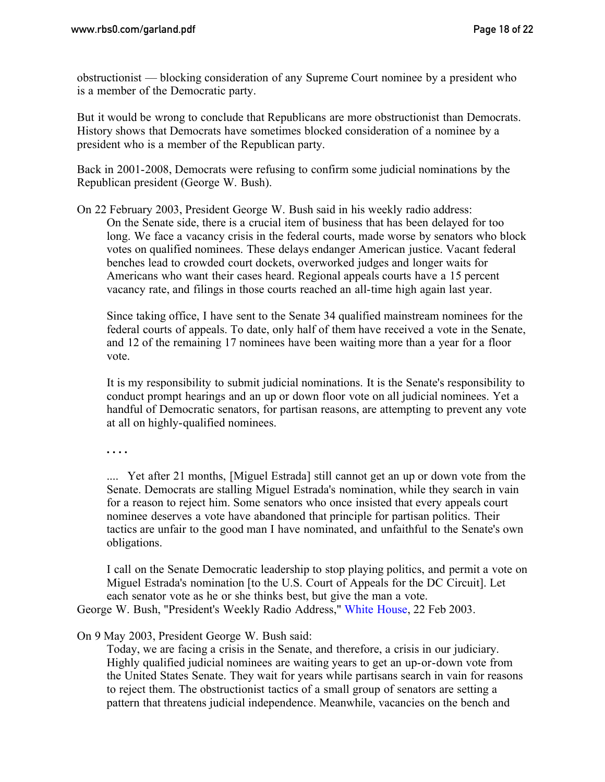obstructionist — blocking consideration of any Supreme Court nominee by a president who is a member of the Democratic party.

But it would be wrong to conclude that Republicans are more obstructionist than Democrats. History shows that Democrats have sometimes blocked consideration of a nominee by a president who is a member of the Republican party.

Back in 2001-2008, Democrats were refusing to confirm some judicial nominations by the Republican president (George W. Bush).

On 22 February 2003, President George W. Bush said in his weekly radio address: On the Senate side, there is a crucial item of business that has been delayed for too long. We face a vacancy crisis in the federal courts, made worse by senators who block votes on qualified nominees. These delays endanger American justice. Vacant federal benches lead to crowded court dockets, overworked judges and longer waits for Americans who want their cases heard. Regional appeals courts have a 15 percent vacancy rate, and filings in those courts reached an all-time high again last year.

Since taking office, I have sent to the Senate 34 qualified mainstream nominees for the federal courts of appeals. To date, only half of them have received a vote in the Senate, and 12 of the remaining 17 nominees have been waiting more than a year for a floor vote.

It is my responsibility to submit judicial nominations. It is the Senate's responsibility to conduct prompt hearings and an up or down floor vote on all judicial nominees. Yet a handful of Democratic senators, for partisan reasons, are attempting to prevent any vote at all on highly-qualified nominees.

**. . . .**

.... Yet after 21 months, [Miguel Estrada] still cannot get an up or down vote from the Senate. Democrats are stalling Miguel Estrada's nomination, while they search in vain for a reason to reject him. Some senators who once insisted that every appeals court nominee deserves a vote have abandoned that principle for partisan politics. Their tactics are unfair to the good man I have nominated, and unfaithful to the Senate's own obligations.

I call on the Senate Democratic leadership to stop playing politics, and permit a vote on Miguel Estrada's nomination [to the U.S. Court of Appeals for the DC Circuit]. Let each senator vote as he or she thinks best, but give the man a vote.

George W. Bush, "President's Weekly Radio Address," [White House,](https://georgewbush-whitehouse.archives.gov/news/releases/2003/02/20030222-1.html) 22 Feb 2003.

On 9 May 2003, President George W. Bush said:

Today, we are facing a crisis in the Senate, and therefore, a crisis in our judiciary. Highly qualified judicial nominees are waiting years to get an up-or-down vote from the United States Senate. They wait for years while partisans search in vain for reasons to reject them. The obstructionist tactics of a small group of senators are setting a pattern that threatens judicial independence. Meanwhile, vacancies on the bench and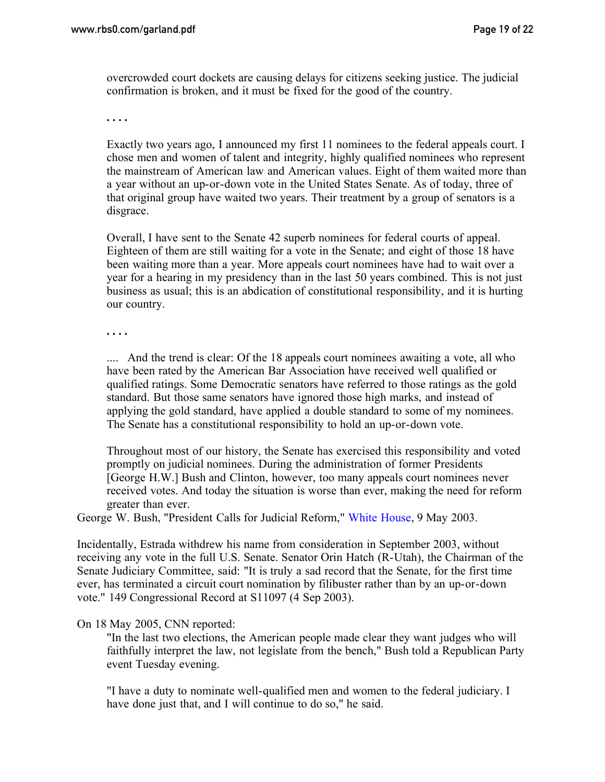overcrowded court dockets are causing delays for citizens seeking justice. The judicial confirmation is broken, and it must be fixed for the good of the country.

**. . . .**

Exactly two years ago, I announced my first 11 nominees to the federal appeals court. I chose men and women of talent and integrity, highly qualified nominees who represent the mainstream of American law and American values. Eight of them waited more than a year without an up-or-down vote in the United States Senate. As of today, three of that original group have waited two years. Their treatment by a group of senators is a disgrace.

Overall, I have sent to the Senate 42 superb nominees for federal courts of appeal. Eighteen of them are still waiting for a vote in the Senate; and eight of those 18 have been waiting more than a year. More appeals court nominees have had to wait over a year for a hearing in my presidency than in the last 50 years combined. This is not just business as usual; this is an abdication of constitutional responsibility, and it is hurting our country.

**. . . .**

.... And the trend is clear: Of the 18 appeals court nominees awaiting a vote, all who have been rated by the American Bar Association have received well qualified or qualified ratings. Some Democratic senators have referred to those ratings as the gold standard. But those same senators have ignored those high marks, and instead of applying the gold standard, have applied a double standard to some of my nominees. The Senate has a constitutional responsibility to hold an up-or-down vote.

Throughout most of our history, the Senate has exercised this responsibility and voted promptly on judicial nominees. During the administration of former Presidents [George H.W.] Bush and Clinton, however, too many appeals court nominees never received votes. And today the situation is worse than ever, making the need for reform greater than ever.

George W. Bush, "President Calls for Judicial Reform," [White House,](https://georgewbush-whitehouse.archives.gov/news/releases/2003/05/20030509-4.html) 9 May 2003.

Incidentally, Estrada withdrew his name from consideration in September 2003, without receiving any vote in the full U.S. Senate. Senator Orin Hatch (R-Utah), the Chairman of the Senate Judiciary Committee, said: "It is truly a sad record that the Senate, for the first time ever, has terminated a circuit court nomination by filibuster rather than by an up-or-down vote." 149 Congressional Record at S11097 (4 Sep 2003).

#### On 18 May 2005, CNN reported:

"In the last two elections, the American people made clear they want judges who will faithfully interpret the law, not legislate from the bench," Bush told a Republican Party event Tuesday evening.

"I have a duty to nominate well-qualified men and women to the federal judiciary. I have done just that, and I will continue to do so," he said.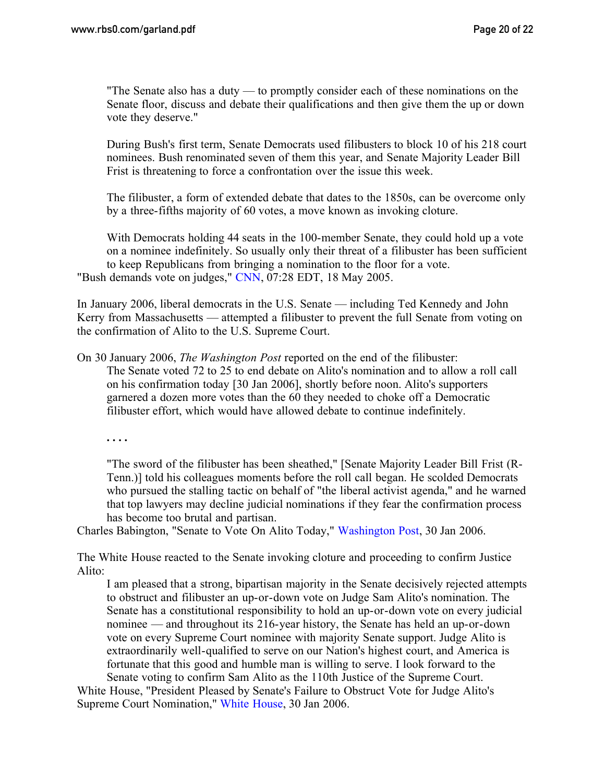"The Senate also has a duty — to promptly consider each of these nominations on the Senate floor, discuss and debate their qualifications and then give them the up or down vote they deserve."

During Bush's first term, Senate Democrats used filibusters to block 10 of his 218 court nominees. Bush renominated seven of them this year, and Senate Majority Leader Bill Frist is threatening to force a confrontation over the issue this week.

The filibuster, a form of extended debate that dates to the 1850s, can be overcome only by a three-fifths majority of 60 votes, a move known as invoking cloture.

With Democrats holding 44 seats in the 100-member Senate, they could hold up a vote on a nominee indefinitely. So usually only their threat of a filibuster has been sufficient to keep Republicans from bringing a nomination to the floor for a vote. "Bush demands vote on judges," [CNN,](http://www.cnn.com/2005/POLITICS/05/17/filibuster.fight/) 07:28 EDT, 18 May 2005.

In January 2006, liberal democrats in the U.S. Senate — including Ted Kennedy and John Kerry from Massachusetts — attempted a filibuster to prevent the full Senate from voting on the confirmation of Alito to the U.S. Supreme Court.

On 30 January 2006, *The Washington Post* reported on the end of the filibuster: The Senate voted 72 to 25 to end debate on Alito's nomination and to allow a roll call on his confirmation today [30 Jan 2006], shortly before noon. Alito's supporters garnered a dozen more votes than the 60 they needed to choke off a Democratic filibuster effort, which would have allowed debate to continue indefinitely.

**. . . .**

"The sword of the filibuster has been sheathed," [Senate Majority Leader Bill Frist (R-Tenn.)] told his colleagues moments before the roll call began. He scolded Democrats who pursued the stalling tactic on behalf of "the liberal activist agenda," and he warned that top lawyers may decline judicial nominations if they fear the confirmation process has become too brutal and partisan.

Charles Babington, "Senate to Vote On Alito Today," [Washington Post,](http://www.washingtonpost.com/wp-dyn/content/article/2006/01/30/AR2006013001021.html) 30 Jan 2006.

The White House reacted to the Senate invoking cloture and proceeding to confirm Justice Alito:

I am pleased that a strong, bipartisan majority in the Senate decisively rejected attempts to obstruct and filibuster an up-or-down vote on Judge Sam Alito's nomination. The Senate has a constitutional responsibility to hold an up-or-down vote on every judicial nominee — and throughout its 216-year history, the Senate has held an up-or-down vote on every Supreme Court nominee with majority Senate support. Judge Alito is extraordinarily well-qualified to serve on our Nation's highest court, and America is fortunate that this good and humble man is willing to serve. I look forward to the Senate voting to confirm Sam Alito as the 110th Justice of the Supreme Court.

White House, "President Pleased by Senate's Failure to Obstruct Vote for Judge Alito's Supreme Court Nomination," [White House,](https://georgewbush-whitehouse.archives.gov/news/releases/2006/01/20060130-5.html) 30 Jan 2006.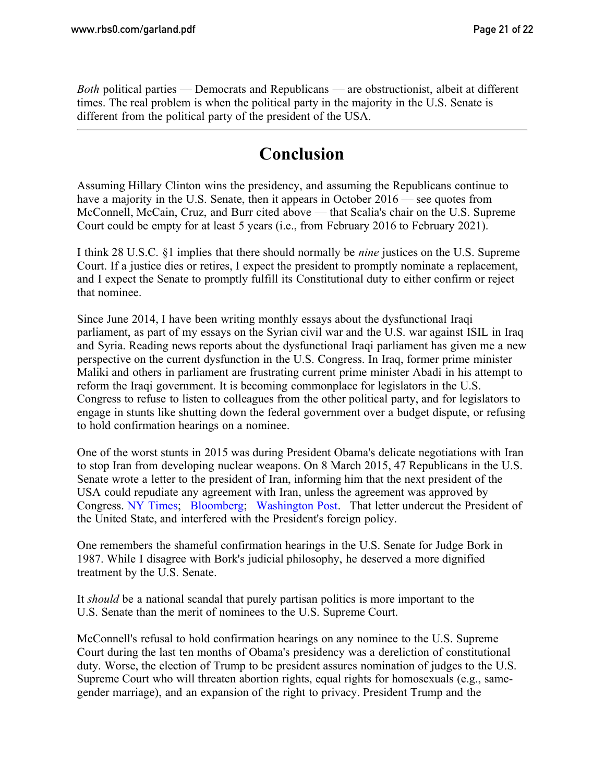*Both* political parties — Democrats and Republicans — are obstructionist, albeit at different times. The real problem is when the political party in the majority in the U.S. Senate is different from the political party of the president of the USA.

# **Conclusion**

Assuming Hillary Clinton wins the presidency, and assuming the Republicans continue to have a majority in the U.S. Senate, then it appears in October 2016 — see quotes from McConnell, McCain, Cruz, and Burr cited above — that Scalia's chair on the U.S. Supreme Court could be empty for at least 5 years (i.e., from February 2016 to February 2021).

I think 28 U.S.C. §1 implies that there should normally be *nine* justices on the U.S. Supreme Court. If a justice dies or retires, I expect the president to promptly nominate a replacement, and I expect the Senate to promptly fulfill its Constitutional duty to either confirm or reject that nominee.

Since June 2014, I have been writing monthly essays about the dysfunctional Iraqi parliament, as part of my essays on the Syrian civil war and the U.S. war against ISIL in Iraq and Syria. Reading news reports about the dysfunctional Iraqi parliament has given me a new perspective on the current dysfunction in the U.S. Congress. In Iraq, former prime minister Maliki and others in parliament are frustrating current prime minister Abadi in his attempt to reform the Iraqi government. It is becoming commonplace for legislators in the U.S. Congress to refuse to listen to colleagues from the other political party, and for legislators to engage in stunts like shutting down the federal government over a budget dispute, or refusing to hold confirmation hearings on a nominee.

One of the worst stunts in 2015 was during President Obama's delicate negotiations with Iran to stop Iran from developing nuclear weapons. On 8 March 2015, 47 Republicans in the U.S. Senate wrote a letter to the president of Iran, informing him that the next president of the USA could repudiate any agreement with Iran, unless the agreement was approved by Congress. [NY Times](http://www.nytimes.com/2015/03/10/world/asia/white-house-faults-gop-senators-letter-to-irans-leaders.html); [Bloomberg;](https://www.bloomberg.com/view/articles/2015-03-09/republicans-warn-iran-and-obama-that-deal-won-t-last) [Washington Post.](https://www.washingtonpost.com/news/post-politics/wp/2015/03/10/heres-a-list-of-the-gop-senators-who-signed-the-iran-letter/) That letter undercut the President of the United State, and interfered with the President's foreign policy.

One remembers the shameful confirmation hearings in the U.S. Senate for Judge Bork in 1987. While I disagree with Bork's judicial philosophy, he deserved a more dignified treatment by the U.S. Senate.

It *should* be a national scandal that purely partisan politics is more important to the U.S. Senate than the merit of nominees to the U.S. Supreme Court.

McConnell's refusal to hold confirmation hearings on any nominee to the U.S. Supreme Court during the last ten months of Obama's presidency was a dereliction of constitutional duty. Worse, the election of Trump to be president assures nomination of judges to the U.S. Supreme Court who will threaten abortion rights, equal rights for homosexuals (e.g., samegender marriage), and an expansion of the right to privacy. President Trump and the